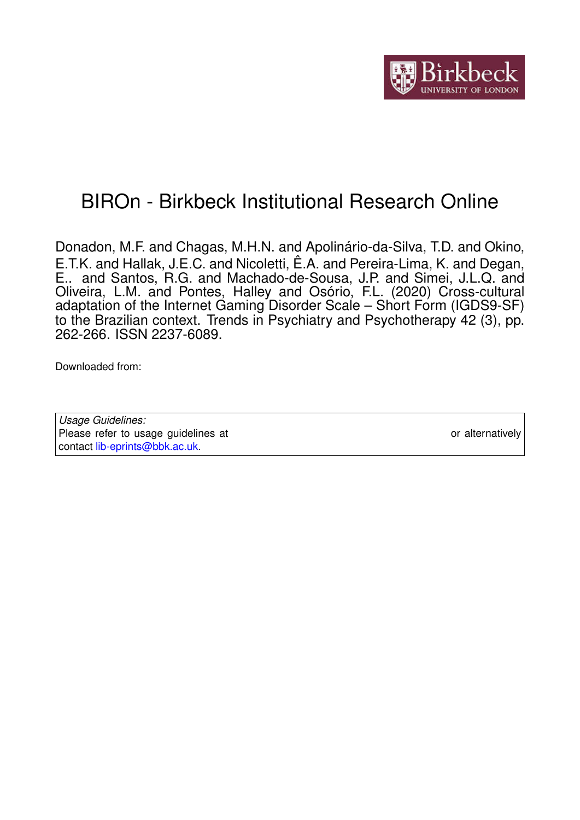

# BIROn - Birkbeck Institutional Research Online

Donadon, M.F. and Chagas, M.H.N. and Apolinário-da-Silva, T.D. and Okino, E.T.K. and Hallak, J.E.C. and Nicoletti, Ê.A. and Pereira-Lima, K. and Degan, E.. and Santos, R.G. and Machado-de-Sousa, J.P. and Simei, J.L.Q. and Oliveira, L.M. and Pontes, Halley and Osório, F.L. (2020) Cross-cultural adaptation of the Internet Gaming Disorder Scale – Short Form (IGDS9-SF) to the Brazilian context. Trends in Psychiatry and Psychotherapy 42 (3), pp. 262-266. ISSN 2237-6089.

Downloaded from: <https://eprints.bbk.ac.uk/id/eprint/43419/>

*Usage Guidelines:* Please refer to usage guidelines at <https://eprints.bbk.ac.uk/policies.html> or alternatively contact [lib-eprints@bbk.ac.uk.](mailto:lib-eprints@bbk.ac.uk)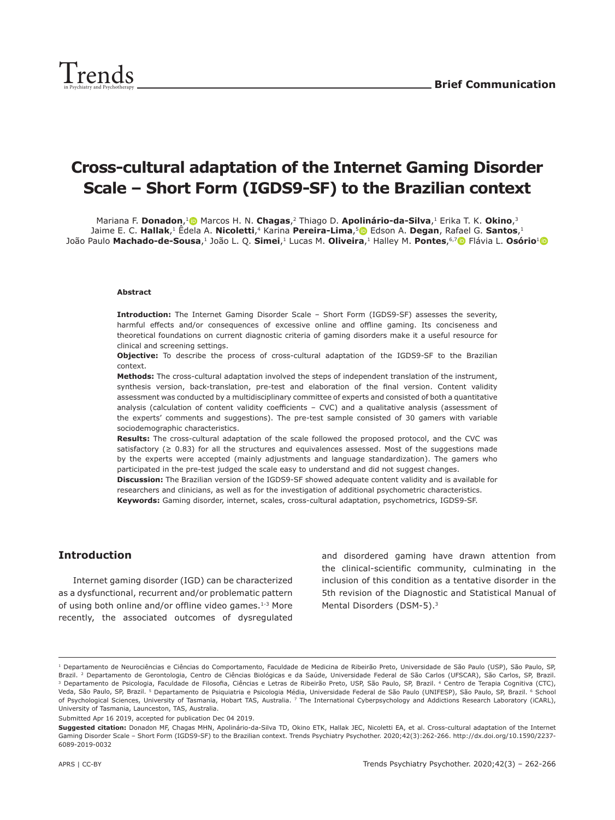

# **Cross-cultural adaptation of the Internet Gaming Disorder Scale – Short Form (IGDS9-SF) to the Brazilian context**

Mariana F. **Donadon**,<sup>1</sup> Marcos H. N. **Chagas**,<sup>2</sup> Thiago D. **Apolinário-da-Silva**,<sup>1</sup> Erika T. K. Okino,<sup>3</sup> Jaime E. C. **Hallak**,1 Êdela A. **Nicoletti**,4 Karina **Pereira-Lima**,[5](https://orcid.org/0000-0003-4313-743X) Edson A. **Degan**, R[afae](https://orcid.org/0000-0001-8020-7623)l G. **Santos**,1 João Paulo Machado-de-Sousa,<sup>[1](https://orcid.org/0000-0003-1396-555X)</sup> João L. Q. Simei,<sup>1</sup> Lucas M. Oliveira,<sup>1</sup> Halley M. Pontes,<sup>6,7</sup> Flávia L. Osório<sup>1</sup> O

#### **Abstract**

**Introduction:** The Internet Gaming Disorder Scale – Short Form (IGDS9-SF) assesses the severity, harmful effects and/or consequences of excessive online and offline gaming. Its conciseness and theoretical foundations on current diagnostic criteria of gaming disorders make it a useful resource for clinical and screening settings.

**Objective:** To describe the process of cross-cultural adaptation of the IGDS9-SF to the Brazilian context.

**Methods:** The cross-cultural adaptation involved the steps of independent translation of the instrument, synthesis version, back-translation, pre-test and elaboration of the final version. Content validity assessment was conducted by a multidisciplinary committee of experts and consisted of both a quantitative analysis (calculation of content validity coefficients – CVC) and a qualitative analysis (assessment of the experts' comments and suggestions). The pre-test sample consisted of 30 gamers with variable sociodemographic characteristics.

**Results:** The cross-cultural adaptation of the scale followed the proposed protocol, and the CVC was satisfactory ( $\geq 0.83$ ) for all the structures and equivalences assessed. Most of the suggestions made by the experts were accepted (mainly adjustments and language standardization). The gamers who participated in the pre-test judged the scale easy to understand and did not suggest changes.

**Discussion:** The Brazilian version of the IGDS9-SF showed adequate content validity and is available for researchers and clinicians, as well as for the investigation of additional psychometric characteristics. **Keywords:** Gaming disorder, internet, scales, cross-cultural adaptation, psychometrics, IGDS9-SF.

## **Introduction**

Internet gaming disorder (IGD) can be characterized as a dysfunctional, recurrent and/or problematic pattern of using both online and/or offline video games.<sup>1-3</sup> More recently, the associated outcomes of dysregulated and disordered gaming have drawn attention from the clinical-scientific community, culminating in the inclusion of this condition as a tentative disorder in the 5th revision of the Diagnostic and Statistical Manual of Mental Disorders (DSM-5).3

Submitted Apr 16 2019, accepted for publication Dec 04 2019.

<sup>&</sup>lt;sup>1</sup> Departamento de Neurociências e Ciências do Comportamento, Faculdade de Medicina de Ribeirão Preto, Universidade de São Paulo (USP), São Paulo, SP, Brazil. <sup>2</sup> Departamento de Gerontologia, Centro de Ciências Biológicas e da Saúde, Universidade Federal de São Carlos (UFSCAR), São Carlos, SP, Brazil. <sup>3</sup> Departamento de Psicologia, Faculdade de Filosofia, Ciências e Letras de Ribeirão Preto, USP, São Paulo, SP, Brazil. <sup>4</sup> Centro de Terapia Cognitiva (CTC), Veda, São Paulo, SP, Brazil. <sup>5</sup> Departamento de Psiquiatria e Psicologia Média, Universidade Federal de São Paulo (UNIFESP), São Paulo, SP, Brazil. <sup>6</sup> School of Psychological Sciences, University of Tasmania, Hobart TAS, Australia. 7 The International Cyberpsychology and Addictions Research Laboratory (iCARL), University of Tasmania, Launceston, TAS, Australia.

**Suggested citation:** Donadon MF, Chagas MHN, Apolinário-da-Silva TD, Okino ETK, Hallak JEC, Nicoletti EA, et al. Cross-cultural adaptation of the Internet Gaming Disorder Scale – Short Form (IGDS9-SF) to the Brazilian context. Trends Psychiatry Psychother. 2020;42(3):262-266. http://dx.doi.org/10.1590/2237- 6089-2019-0032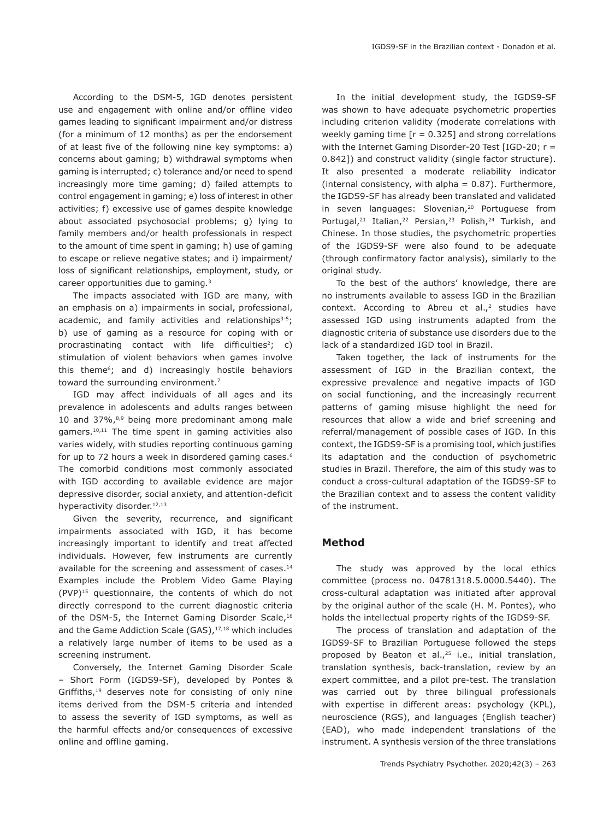According to the DSM-5, IGD denotes persistent use and engagement with online and/or offline video games leading to significant impairment and/or distress (for a minimum of 12 months) as per the endorsement of at least five of the following nine key symptoms: a) concerns about gaming; b) withdrawal symptoms when gaming is interrupted; c) tolerance and/or need to spend increasingly more time gaming; d) failed attempts to control engagement in gaming; e) loss of interest in other activities; f) excessive use of games despite knowledge about associated psychosocial problems; g) lying to family members and/or health professionals in respect to the amount of time spent in gaming; h) use of gaming to escape or relieve negative states; and i) impairment/ loss of significant relationships, employment, study, or career opportunities due to gaming.3

The impacts associated with IGD are many, with an emphasis on a) impairments in social, professional, academic, and family activities and relationships<sup>3-5</sup>; b) use of gaming as a resource for coping with or procrastinating contact with life difficulties<sup>2</sup>; c) stimulation of violent behaviors when games involve this theme<sup>6</sup>; and d) increasingly hostile behaviors toward the surrounding environment.<sup>7</sup>

IGD may affect individuals of all ages and its prevalence in adolescents and adults ranges between 10 and 37%,<sup>8,9</sup> being more predominant among male gamers.10,11 The time spent in gaming activities also varies widely, with studies reporting continuous gaming for up to 72 hours a week in disordered gaming cases.6 The comorbid conditions most commonly associated with IGD according to available evidence are major depressive disorder, social anxiety, and attention-deficit hyperactivity disorder.<sup>12,13</sup>

Given the severity, recurrence, and significant impairments associated with IGD, it has become increasingly important to identify and treat affected individuals. However, few instruments are currently available for the screening and assessment of cases.<sup>14</sup> Examples include the Problem Video Game Playing (PVP)15 questionnaire, the contents of which do not directly correspond to the current diagnostic criteria of the DSM-5, the Internet Gaming Disorder Scale,<sup>16</sup> and the Game Addiction Scale (GAS),<sup>17,18</sup> which includes a relatively large number of items to be used as a screening instrument.

Conversely, the Internet Gaming Disorder Scale – Short Form (IGDS9-SF), developed by Pontes & Griffiths,<sup>19</sup> deserves note for consisting of only nine items derived from the DSM-5 criteria and intended to assess the severity of IGD symptoms, as well as the harmful effects and/or consequences of excessive online and offline gaming.

In the initial development study, the IGDS9-SF was shown to have adequate psychometric properties including criterion validity (moderate correlations with weekly gaming time  $[r = 0.325]$  and strong correlations with the Internet Gaming Disorder-20 Test [IGD-20; r = 0.842]) and construct validity (single factor structure). It also presented a moderate reliability indicator (internal consistency, with alpha = 0.87). Furthermore, the IGDS9-SF has already been translated and validated in seven languages: Slovenian,<sup>20</sup> Portuguese from Portugal,<sup>21</sup> Italian,<sup>22</sup> Persian,<sup>23</sup> Polish,<sup>24</sup> Turkish, and Chinese. In those studies, the psychometric properties of the IGDS9-SF were also found to be adequate (through confirmatory factor analysis), similarly to the original study.

To the best of the authors' knowledge, there are no instruments available to assess IGD in the Brazilian context. According to Abreu et al., $2$  studies have assessed IGD using instruments adapted from the diagnostic criteria of substance use disorders due to the lack of a standardized IGD tool in Brazil.

Taken together, the lack of instruments for the assessment of IGD in the Brazilian context, the expressive prevalence and negative impacts of IGD on social functioning, and the increasingly recurrent patterns of gaming misuse highlight the need for resources that allow a wide and brief screening and referral/management of possible cases of IGD. In this context, the IGDS9-SF is a promising tool, which justifies its adaptation and the conduction of psychometric studies in Brazil. Therefore, the aim of this study was to conduct a cross-cultural adaptation of the IGDS9-SF to the Brazilian context and to assess the content validity of the instrument.

## **Method**

The study was approved by the local ethics committee (process no. 04781318.5.0000.5440). The cross-cultural adaptation was initiated after approval by the original author of the scale (H. M. Pontes), who holds the intellectual property rights of the IGDS9-SF.

The process of translation and adaptation of the IGDS9-SF to Brazilian Portuguese followed the steps proposed by Beaton et al.,<sup>25</sup> i.e., initial translation, translation synthesis, back-translation, review by an expert committee, and a pilot pre-test. The translation was carried out by three bilingual professionals with expertise in different areas: psychology (KPL), neuroscience (RGS), and languages (English teacher) (EAD), who made independent translations of the instrument. A synthesis version of the three translations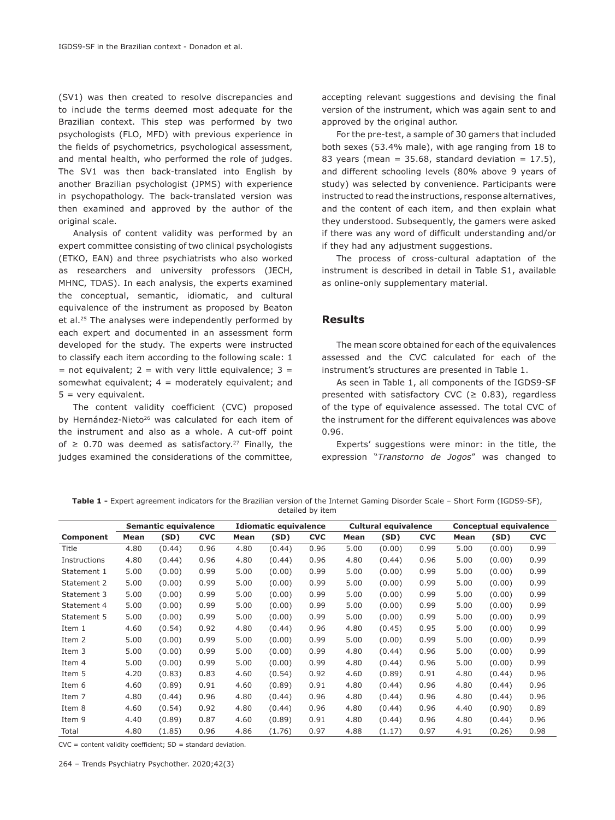(SV1) was then created to resolve discrepancies and to include the terms deemed most adequate for the Brazilian context. This step was performed by two psychologists (FLO, MFD) with previous experience in the fields of psychometrics, psychological assessment, and mental health, who performed the role of judges. The SV1 was then back-translated into English by another Brazilian psychologist (JPMS) with experience in psychopathology. The back-translated version was then examined and approved by the author of the original scale.

Analysis of content validity was performed by an expert committee consisting of two clinical psychologists (ETKO, EAN) and three psychiatrists who also worked as researchers and university professors (JECH, MHNC, TDAS). In each analysis, the experts examined the conceptual, semantic, idiomatic, and cultural equivalence of the instrument as proposed by Beaton et al.25 The analyses were independently performed by each expert and documented in an assessment form developed for the study. The experts were instructed to classify each item according to the following scale: 1 = not equivalent;  $2 =$  with very little equivalence;  $3 =$ somewhat equivalent;  $4 =$  moderately equivalent; and 5 = very equivalent.

The content validity coefficient (CVC) proposed by Hernández-Nieto<sup>26</sup> was calculated for each item of the instrument and also as a whole. A cut-off point of  $\geq$  0.70 was deemed as satisfactory.<sup>27</sup> Finally, the judges examined the considerations of the committee, accepting relevant suggestions and devising the final version of the instrument, which was again sent to and approved by the original author.

For the pre-test, a sample of 30 gamers that included both sexes (53.4% male), with age ranging from 18 to 83 years (mean =  $35.68$ , standard deviation =  $17.5$ ), and different schooling levels (80% above 9 years of study) was selected by convenience. Participants were instructed to read the instructions, response alternatives, and the content of each item, and then explain what they understood. Subsequently, the gamers were asked if there was any word of difficult understanding and/or if they had any adjustment suggestions.

The process of cross-cultural adaptation of the instrument is described in detail in Table S1, available as online-only supplementary material.

#### **Results**

The mean score obtained for each of the equivalences assessed and the CVC calculated for each of the instrument's structures are presented in Table 1.

As seen in Table 1, all components of the IGDS9-SF presented with satisfactory CVC ( $\geq$  0.83), regardless of the type of equivalence assessed. The total CVC of the instrument for the different equivalences was above 0.96.

Experts' suggestions were minor: in the title, the expression "*Transtorno de Jogos*" was changed to

**Table 1 -** Expert agreement indicators for the Brazilian version of the Internet Gaming Disorder Scale – Short Form (IGDS9-SF), detailed by item

|              | Semantic equivalence |        |            | <b>Idiomatic equivalence</b> |        |            | <b>Cultural equivalence</b> |        |            | <b>Conceptual equivalence</b> |        |            |
|--------------|----------------------|--------|------------|------------------------------|--------|------------|-----------------------------|--------|------------|-------------------------------|--------|------------|
| Component    | Mean                 | (SD)   | <b>CVC</b> | Mean                         | (SD)   | <b>CVC</b> | Mean                        | (SD)   | <b>CVC</b> | Mean                          | (SD)   | <b>CVC</b> |
| Title        | 4.80                 | (0.44) | 0.96       | 4.80                         | (0.44) | 0.96       | 5.00                        | (0.00) | 0.99       | 5.00                          | (0.00) | 0.99       |
| Instructions | 4.80                 | (0.44) | 0.96       | 4.80                         | (0.44) | 0.96       | 4.80                        | (0.44) | 0.96       | 5.00                          | (0.00) | 0.99       |
| Statement 1  | 5.00                 | (0.00) | 0.99       | 5.00                         | (0.00) | 0.99       | 5.00                        | (0.00) | 0.99       | 5.00                          | (0.00) | 0.99       |
| Statement 2  | 5.00                 | (0.00) | 0.99       | 5.00                         | (0.00) | 0.99       | 5.00                        | (0.00) | 0.99       | 5.00                          | (0.00) | 0.99       |
| Statement 3  | 5.00                 | (0.00) | 0.99       | 5.00                         | (0.00) | 0.99       | 5.00                        | (0.00) | 0.99       | 5.00                          | (0.00) | 0.99       |
| Statement 4  | 5.00                 | (0.00) | 0.99       | 5.00                         | (0.00) | 0.99       | 5.00                        | (0.00) | 0.99       | 5.00                          | (0.00) | 0.99       |
| Statement 5  | 5.00                 | (0.00) | 0.99       | 5.00                         | (0.00) | 0.99       | 5.00                        | (0.00) | 0.99       | 5.00                          | (0.00) | 0.99       |
| Item 1       | 4.60                 | (0.54) | 0.92       | 4.80                         | (0.44) | 0.96       | 4.80                        | (0.45) | 0.95       | 5.00                          | (0.00) | 0.99       |
| Item 2       | 5.00                 | (0.00) | 0.99       | 5.00                         | (0.00) | 0.99       | 5.00                        | (0.00) | 0.99       | 5.00                          | (0.00) | 0.99       |
| Item 3       | 5.00                 | (0.00) | 0.99       | 5.00                         | (0.00) | 0.99       | 4.80                        | (0.44) | 0.96       | 5.00                          | (0.00) | 0.99       |
| Item 4       | 5.00                 | (0.00) | 0.99       | 5.00                         | (0.00) | 0.99       | 4.80                        | (0.44) | 0.96       | 5.00                          | (0.00) | 0.99       |
| Item 5       | 4.20                 | (0.83) | 0.83       | 4.60                         | (0.54) | 0.92       | 4.60                        | (0.89) | 0.91       | 4.80                          | (0.44) | 0.96       |
| Item 6       | 4.60                 | (0.89) | 0.91       | 4.60                         | (0.89) | 0.91       | 4.80                        | (0.44) | 0.96       | 4.80                          | (0.44) | 0.96       |
| Item 7       | 4.80                 | (0.44) | 0.96       | 4.80                         | (0.44) | 0.96       | 4.80                        | (0.44) | 0.96       | 4.80                          | (0.44) | 0.96       |
| Item 8       | 4.60                 | (0.54) | 0.92       | 4.80                         | (0.44) | 0.96       | 4.80                        | (0.44) | 0.96       | 4.40                          | (0.90) | 0.89       |
| Item 9       | 4.40                 | (0.89) | 0.87       | 4.60                         | (0.89) | 0.91       | 4.80                        | (0.44) | 0.96       | 4.80                          | (0.44) | 0.96       |
| Total        | 4.80                 | (1.85) | 0.96       | 4.86                         | (1.76) | 0.97       | 4.88                        | (1.17) | 0.97       | 4.91                          | (0.26) | 0.98       |

 $CVC = content$  validity coefficient:  $SD = standard$  deviation.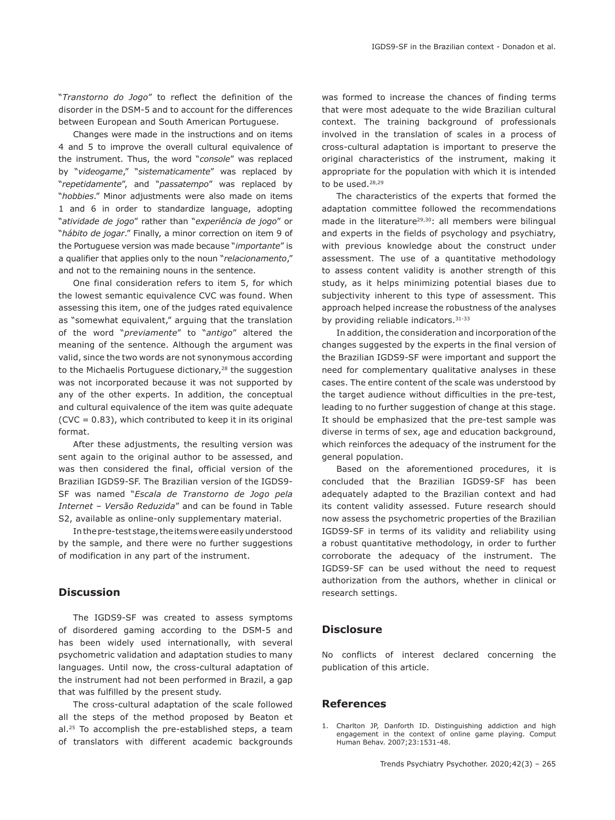"*Transtorno do Jogo*" to reflect the definition of the disorder in the DSM-5 and to account for the differences between European and South American Portuguese.

Changes were made in the instructions and on items 4 and 5 to improve the overall cultural equivalence of the instrument. Thus, the word "*console*" was replaced by "*videogame*," "*sistematicamente*" was replaced by "*repetidamente*", and "*passatempo*" was replaced by "*hobbies*." Minor adjustments were also made on items 1 and 6 in order to standardize language, adopting "*atividade de jogo*" rather than "*experiência de jogo*" or "*hábito de jogar*." Finally, a minor correction on item 9 of the Portuguese version was made because "*importante*" is a qualifier that applies only to the noun "*relacionamento*," and not to the remaining nouns in the sentence.

One final consideration refers to item 5, for which the lowest semantic equivalence CVC was found. When assessing this item, one of the judges rated equivalence as "somewhat equivalent," arguing that the translation of the word "*previamente*" to "*antigo*" altered the meaning of the sentence. Although the argument was valid, since the two words are not synonymous according to the Michaelis Portuguese dictionary,<sup>28</sup> the suggestion was not incorporated because it was not supported by any of the other experts. In addition, the conceptual and cultural equivalence of the item was quite adequate  $(CVC = 0.83)$ , which contributed to keep it in its original format.

After these adjustments, the resulting version was sent again to the original author to be assessed, and was then considered the final, official version of the Brazilian IGDS9-SF. The Brazilian version of the IGDS9- SF was named "*Escala de Transtorno de Jogo pela Internet – Versão Reduzida*" and can be found in Table S2, available as online-only supplementary material.

In the pre-test stage, the items were easily understood by the sample, and there were no further suggestions of modification in any part of the instrument.

#### **Discussion**

The IGDS9-SF was created to assess symptoms of disordered gaming according to the DSM-5 and has been widely used internationally, with several psychometric validation and adaptation studies to many languages. Until now, the cross-cultural adaptation of the instrument had not been performed in Brazil, a gap that was fulfilled by the present study.

The cross-cultural adaptation of the scale followed all the steps of the method proposed by Beaton et al.25 To accomplish the pre-established steps, a team of translators with different academic backgrounds was formed to increase the chances of finding terms that were most adequate to the wide Brazilian cultural context. The training background of professionals involved in the translation of scales in a process of cross-cultural adaptation is important to preserve the original characteristics of the instrument, making it appropriate for the population with which it is intended to be used.<sup>28,29</sup>

The characteristics of the experts that formed the adaptation committee followed the recommendations made in the literature<sup>29,30</sup>: all members were bilingual and experts in the fields of psychology and psychiatry, with previous knowledge about the construct under assessment. The use of a quantitative methodology to assess content validity is another strength of this study, as it helps minimizing potential biases due to subjectivity inherent to this type of assessment. This approach helped increase the robustness of the analyses by providing reliable indicators. 31-33

In addition, the consideration and incorporation of the changes suggested by the experts in the final version of the Brazilian IGDS9-SF were important and support the need for complementary qualitative analyses in these cases. The entire content of the scale was understood by the target audience without difficulties in the pre-test, leading to no further suggestion of change at this stage. It should be emphasized that the pre-test sample was diverse in terms of sex, age and education background, which reinforces the adequacy of the instrument for the general population.

Based on the aforementioned procedures, it is concluded that the Brazilian IGDS9-SF has been adequately adapted to the Brazilian context and had its content validity assessed. Future research should now assess the psychometric properties of the Brazilian IGDS9-SF in terms of its validity and reliability using a robust quantitative methodology, in order to further corroborate the adequacy of the instrument. The IGDS9-SF can be used without the need to request authorization from the authors, whether in clinical or research settings.

#### **Disclosure**

No conflicts of interest declared concerning the publication of this article.

#### **References**

1. Charlton JP, Danforth ID. Distinguishing addiction and high engagement in the context of online game playing. Comput Human Behav. 2007;23:1531-48.